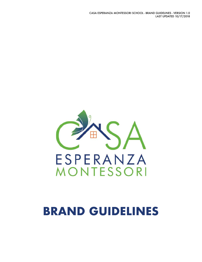#### CASA ESPERANZA MONTESSORI SCHOOL - BRAND GUIDELINES - VERSION 1.0 LAST UPDATED 10/17/2018



# **BRAND GUIDELINES**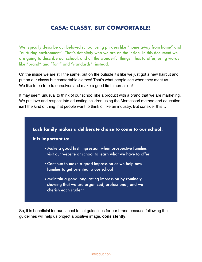### **CASA: CLASSY, BUT COMFORTABLE!**

We typically describe our beloved school using phrases like "home away from home" and "nurturing environment". That's definitely who we are on the inside. In this document we are going to describe our school, and all the wonderful things it has to offer, using words like "brand" and "font" and "standards", instead.

On the inside we are still the same, but on the outside it's like we just got a new haircut and put on our classy but comfortable clothes! That's what people see when they meet us. We like to be true to ourselves and make a good first impression!

It may seem unusual to think of our school like a product with a brand that we are marketing. We put love and respect into educating children using the Montessori method and education isn't the kind of thing that people want to think of like an industry. But consider this…



So, it is beneficial for our school to set guidelines for our brand because following the guidelines will help us project a positive image, **consistently**.

introduction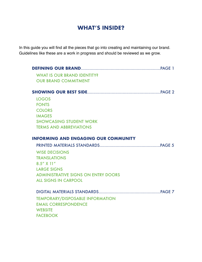### **WHAT'S INSIDE?**

In this guide you will find all the pieces that go into creating and maintaining our brand. Guidelines like these are a work in progress and should be reviewed as we grow.

| <b>WHAT IS OUR BRAND IDENTITY?</b>          |  |
|---------------------------------------------|--|
| <b>OUR BRAND COMMITMENT</b>                 |  |
|                                             |  |
| <b>LOGOS</b>                                |  |
| <b>FONTS</b>                                |  |
| <b>COLORS</b>                               |  |
| <b>IMAGES</b>                               |  |
| <b>SHOWCASING STUDENT WORK</b>              |  |
| <b>TERMS AND ABBREVIATIONS</b>              |  |
| <b>INFORMING AND ENGAGING OUR COMMUNITY</b> |  |
|                                             |  |
| <b>WISE DECISIONS</b>                       |  |
| <b>TRANSLATIONS</b>                         |  |
| $8.5''$ X 11"                               |  |
| <b>LARGE SIGNS</b>                          |  |
| <b>ADMINISTRATIVE SIGNS ON ENTRY DOORS</b>  |  |
| <b>ALL SIGNS IN CARPOOL</b>                 |  |
|                                             |  |
| <b>TEMPORARY/DISPOSABLE INFORMATION</b>     |  |
| <b>EMAIL CORRESPONDENCE</b>                 |  |
| <b>WEBSITE</b>                              |  |
| <b>FACEBOOK</b>                             |  |
|                                             |  |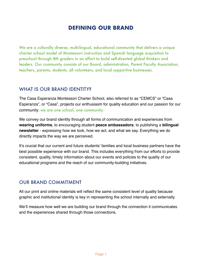### **DEFINING OUR BRAND**

We are a culturally diverse, multi-lingual, educational community that delivers a unique charter school model of Montessori instruction and Spanish language acquisition to preschool through 8th graders in an effort to build self-directed global thinkers and leaders. Our community consists of our Board, administration, Parent Faculty Association, teachers, parents, students, all volunteers, and local supportive businesses.

### WHAT IS OUR BRAND IDENTITY?

The Casa Esperanza Montessori Charter School, also referred to as "CEMCS" or "Casa Esperanza", or "Casa", projects our enthusiasm for quality education and our passion for our community: we are one school, one community.

We convey our brand identity through all forms of communication and experiences from **wearing uniforms**, to encouraging student **peace ambassadors**, to publishing a **bilingual newsletter** - expressing how we look, how we act, and what we say. Everything we do directly impacts the way we are perceived.

It's crucial that our current and future students' families and local business partners have the best possible experience with our brand. This includes everything from our efforts to provide consistent, quality, timely information about our events and policies to the quality of our educational programs and the reach of our community-building initiatives.

### OUR BRAND COMMITMENT

All our print and online materials will reflect the same consistent level of quality because graphic and institutional identity is key in representing the school internally and externally.

We'll measure how well we are building our brand through the connection it communicates and the experiences shared through those connections.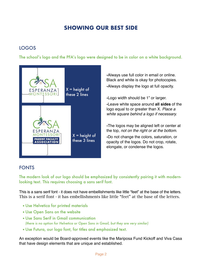### **SHOWING OUR BEST SIDE**

### LOGOS

The school's logo and the PFA's logo were designed to be in color on a white background.



•Always use full color in email or online. Black and white is okay for photocopies. •Always display the logo at full opacity.

•Logo width should be 1" or larger. •Leave white space around **all sides** of the logo equal to or greater than X. *Place a white square behind a logo if necessary.*

•The logos may be aligned left or center at the top, *not on the right or at the bottom.* •Do not change the colors, saturation, or opacity of the logos. Do not crop, rotate, elongate, or condense the logos.

### FONTS

The modern look of our logo should be emphasized by consistently pairing it with modernlooking text. This requires choosing a sans serif font.

This is a sans serif font - it does not have embellishments like little "feet" at the base of the letters. This is a serif font - it has embellishments like little "feet" at the base of the letters.

- •Use Helvetica for printed materials
- •Use Open Sans on the website
- •Use Sans Serif in Gmail communication *(there is no option for Helvetica or Open Sans in Gmail, but they are very similar)*
- •Use Futura, our logo font, for titles and emphasized text.

An exception would be Board-approved events like the Mariposa Fund Kickoff and Viva Casa that have design elements that are unique and established.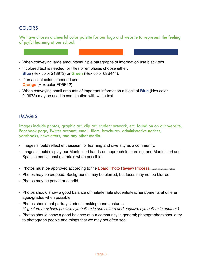### **COLORS**

We have chosen a cheerful color palette for our logo and website to represent the feeling of joyful learning at our school.

- When conveying large amounts/multiple paragraphs of information use black text.
- If colored text is needed for titles or emphasis choose either: **Blue** (Hex color 213973) or **Green** (Hex color 69B444).
- If an accent color is needed use: **Orange** (Hex color FD5E12).
- When conveying small amounts of important information a block of **Blue** (Hex color 213973) may be used in combination with white text.

### IMAGES

Images include photos, graphic art, clip art, student artwork, etc. found on on our website, Facebook page, Twitter account, email, fliers, brochures, administrative notices, yearbooks, newsletters, and any other media.

- Images should reflect enthusiasm for learning and diversity as a community.
- Images should display our Montessori hands-on approach to learning, and Montessori and Spanish educational materials when possible.
- Photos must be approved according to the Board Photo Review Process. <insert link when complete>
- Photos may be cropped. Backgrounds may be blurred, but faces may not be blurred.
- Photos may be posed or candid.
- Photos should show a good balance of male/female students/teachers/parents at different ages/grades when possible.
- Photos should not portray students making hand gestures. *(A gesture may have positive symbolism in one culture and negative symbolism in another.)*
- Photos should show a good balance of our community in general; photographers should try to photograph people and things that we may not often see.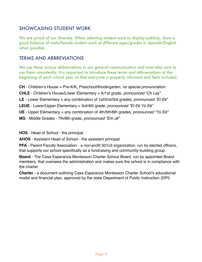### SHOWCASING STUDENT WORK

We are proud of our diversity. When selecting student work to display publicly, show a good balance of male/female student work at different ages/grades in Spanish/English when possible.

### TERMS AND ABBREVIATIONS

We use these unique abbreviations in our general communication and must take care to use them consistently. It is important to introduce these terms and abbreviations at the beginning of each school year so that everyone is properly informed and feels included.

**CH** - Children's House = Pre-K/K, Preschool/Kindergarten, *no special pronunciation* **CHLE** - Children's House/Lower Elementary = K/1st grade, *pronounced "Ch Lay"*  **LE** - Lower Elementary = any combination of 1st/2nd/3rd grades, *pronounced "El E*ē*"*  **LEUE** - Lower/Upper Elementary = 3rd/4th grade, *pronounced "El E*ē *Y*ū *E*ē*"* **UE** - Upper Elementary = any combination of 4th/5th/6th grades, *pronounced "Y*ū *E*ē*"* **MG** - Middle Grades - 7th/8th grade, *pronounced "Em J*ē*"*

**HOS** - Head of School - the principal

**AHOS** - Assistant Head of School - the assistant principal

**PFA** - Parent Faculty Association - a non-profit 501c3 organization, run by elected officers, that supports our school specifically as a fundraising and community-building group

**Board** - The Casa Esperanza Montessori Charter School Board, run by appointed Board members, that oversees the administration and makes sure the school is in compliance with the charter

**Charter** - a document outlining Casa Esperanza Montessori Charter School's educational model and financial plan, approved by the state Department of Public Instruction (DPI)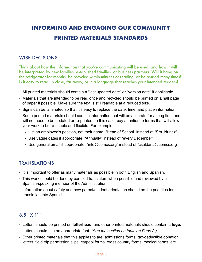## **INFORMING AND ENGAGING OUR COMMUNITY PRINTED MATERIALS STANDARDS**

### WISE DECISIONS

Think about how the information that you're communicating will be used, and how it will be interpreted by new families, established families, or business partners. Will it hang on the refrigerator for months, be recycled within minutes of reading, or be re-used many times? Is it easy to read up close, far away, or in a language that reaches your intended readers?

- All printed materials should contain a "last updated date" or "version date" if applicable.
- Materials that are intended to be read once and recycled should be printed on a half page of paper if possible. Make sure the text is still readable at a reduced size.
- Signs can be laminated so that it's easy to replace the date, time, and place information.
- Some printed materials should contain information that will be accurate for a long time and will not need to be updated or re-printed. In this case, pay attention to terms that will allow your work to be re-usable and flexible! For example:
	- List an employee's position, not their name: "Head of School" instead of "Sra. Nunez".
	- Use vague dates if appropriate: "Annually" instead of "every December".
	- Use general email if appropriate: ["info@cemcs.org"](mailto:info@cemcs.org) instead of "[csaldana@cemcs.org](mailto:csaldana@cemcs.org)".

### TRANSLATIONS

- It is important to offer as many materials as possible in both English and Spanish.
- This work should be done by certified translators when possible and reviewed by a Spanish-speaking member of the Administration.
- Information about safety and new parent/student orientation should be the priorities for translation into Spanish.

### 8.5" X 11"

- Letters should be printed on **letterhead**, and other printed materials should contain a **logo.**
- Letters should use an appropriate font. *(See the section on fonts on Page 2.)*
- Other printed materials that this applies to are: admissions forms, tax-deductible donation letters, field trip permission slips, carpool forms, cross country forms, medical forms, etc.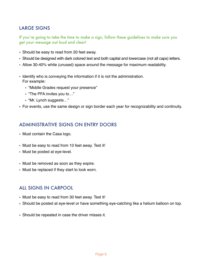### LARGE SIGNS

If you're going to take the time to make a sign, follow these guidelines to make sure you get your message out loud and clear!

- Should be easy to read from 20 feet away.
- Should be designed with dark colored text and both capital and lowercase (not all caps) letters.
- Allow 30-40% white (unused) space around the message for maximum readability.
- Identify who is conveying the information if it is not the administration. For example:
	- "Middle Grades request your presence"
	- "The PFA invites you to…"
	- "Mr. Lynch suggests…"
- For events, use the same design or sign border each year for recognizability and continuity.

### ADMINISTRATIVE SIGNS ON ENTRY DOORS

- Must contain the Casa logo.
- Must be easy to read from 10 feet away. Test it!
- Must be posted at eye-level.
- Must be removed as soon as they expire.
- Must be replaced if they start to look worn.

### ALL SIGNS IN CARPOOL

- Must be easy to read from 30 feet away. Test it!
- Should be posted at eye-level or have something eye-catching like a helium balloon on top.
- Should be repeated in case the driver misses it.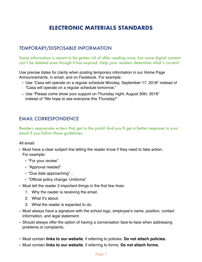### **ELECTRONIC MATERIALS STANDARDS**

### TEMPORARY/DISPOSABLE INFORMATION

Some information is meant to be gotten rid of after reading once, but some digital content can't be deleted even though it has expired. Help your readers determine what's current!

Use precise dates for clarity when posting temporary information in our Home Page Announcements, in email, and on Facebook. For example:

- Use "Casa will operate on a regular schedule Monday, September 17, 2018" instead of "Casa will operate on a regular schedule tomorrow."
- Use "Please come show your support on Thursday night, August 30th, 2018" instead of "We hope to see everyone this Thursday!"

### EMAIL CORRESPONDENCE

Readers appreciate writers that get to the point! And you'll get a better response to your email if you follow these guidelines:

All email:

- Must have a clear subject line letting the reader know if they need to take action. For example:
	- "For your review"
	- "Approval needed"
	- "Due date approaching"…
	- "Official policy change: Uniforms"
- Must tell the reader 3 important things in the first few lines:
	- 1. Why the reader is receiving the email.
	- 2. What it's about.
	- 3. What the reader is expected to do.
- Must always have a signature with the school logo, employee's name, position, contact information, and legal statement.
- Should always offer the option of having a conversation face-to-face when addressing problems or complaints.
- Must contain **links to our website**, if referring to policies. **Do not attach policies.**
- Must contain **links to our website**, if referring to forms. **Do not attach forms.**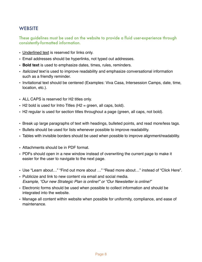### **WEBSITE**

These guidelines must be used on the website to provide a fluid user-experience through consistently-formatted information.

- Underlined text is reserved for links only.
- Email addresses should be hyperlinks, not typed out addresses.
- **Bold text** is used to emphasize dates, times, rules, reminders.
- *Italicized text* is used to improve readability and emphasize conversational information such as a friendly reminder.
- Invitational text should be centered (Examples: Viva Casa, Intersession Camps, date, time, location, etc.).
- ALL CAPS is reserved for H2 titles only.
- $\cdot$  H2 bold is used for Intro Titles (H2 = green, all caps, bold).
- H2 regular is used for section titles throughout a page (green, all caps, not bold).
- Break up large paragraphs of text with headings, bulleted points, and read more/less tags.
- Bullets should be used for lists whenever possible to improve readability.
- Tables with invisible borders should be used when possible to improve alignment/readability.
- Attachments should be in PDF format.
- PDFs should open in a new window instead of overwriting the current page to make it easier for the user to navigate to the next page.
- Use "Learn about…" "Find out more about …" "Read more about…" instead of "Click Here".
- Publicize and link to new content via email and social media. *Example, "Our new Strategic Plan is online!" or "Our Newsletter is online!"*
- Electronic forms should be used when possible to collect information and should be integrated into the website.
- Manage all content within website when possible for uniformity, compliance, and ease of maintenance.